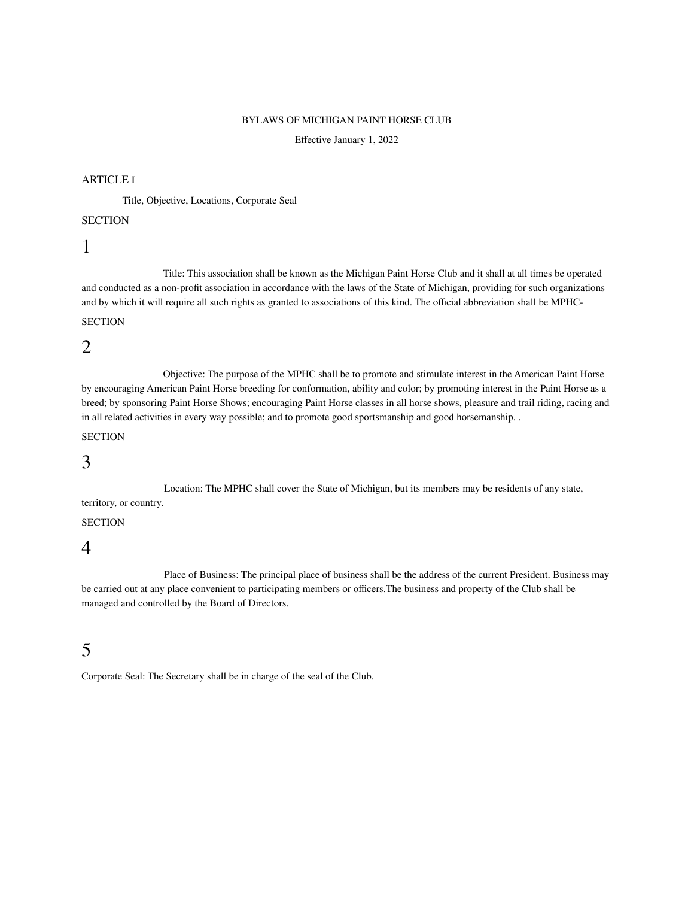### BYLAWS OF MICHIGAN PAINT HORSE CLUB

Effective January 1, 2022

### ARTICLE I

Title, Objective, Locations, Corporate Seal

### **SECTION**

# 1

Title: This association shall be known as the Michigan Paint Horse Club and it shall at all times be operated and conducted as a non-profit association in accordance with the laws of the State of Michigan, providing for such organizations and by which it will require all such rights as granted to associations of this kind. The official abbreviation shall be MPHC-

# **SECTION**

# 2

Objective: The purpose of the MPHC shall be to promote and stimulate interest in the American Paint Horse by encouraging American Paint Horse breeding for conformation, ability and color; by promoting interest in the Paint Horse as a breed; by sponsoring Paint Horse Shows; encouraging Paint Horse classes in all horse shows, pleasure and trail riding, racing and in all related activities in every way possible; and to promote good sportsmanship and good horsemanship. .

## **SECTION**

# 3

Location: The MPHC shall cover the State of Michigan, but its members may be residents of any state, territory, or country.

## **SECTION**

## 4

Place of Business: The principal place of business shall be the address of the current President. Business may be carried out at any place convenient to participating members or officers.The business and property of the Club shall be managed and controlled by the Board of Directors.

# 5

Corporate Seal: The Secretary shall be in charge of the seal of the Club.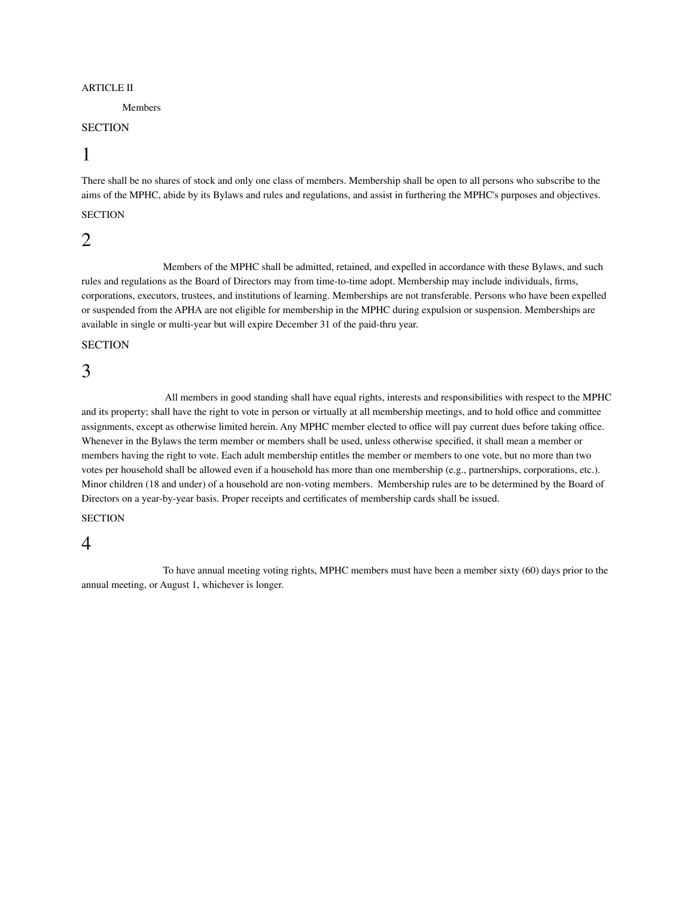#### ARTICLE II

#### Members

### **SECTION**

# 1

There shall be no shares of stock and only one class of members. Membership shall be open to all persons who subscribe to the aims of the MPHC, abide by its Bylaws and rules and regulations, and assist in furthering the MPHC's purposes and objectives.

### **SECTION**

## 2

Members of the MPHC shall be admitted, retained, and expelled in accordance with these Bylaws, and such rules and regulations as the Board of Directors may from time-to-time adopt. Membership may include individuals, firms, corporations, executors, trustees, and institutions of learning. Memberships are not transferable. Persons who have been expelled or suspended from the APHA are not eligible for membership in the MPHC during expulsion or suspension. Memberships are available in single or multi-year but will expire December 31 of the paid-thru year.

### **SECTION**

# 3

All members in good standing shall have equal rights, interests and responsibilities with respect to the MPHC and its property; shall have the right to vote in person or virtually at all membership meetings, and to hold office and committee assignments, except as otherwise limited herein. Any MPHC member elected to office will pay current dues before taking office. Whenever in the Bylaws the term member or members shall be used, unless otherwise specified, it shall mean a member or members having the right to vote. Each adult membership entitles the member or members to one vote, but no more than two votes per household shall be allowed even if a household has more than one membership (e.g., partnerships, corporations, etc.). Minor children (18 and under) of a household are non-voting members. Membership rules are to be determined by the Board of Directors on a year-by-year basis. Proper receipts and certificates of membership cards shall be issued.

## **SECTION**

# 4

To have annual meeting voting rights, MPHC members must have been a member sixty (60) days prior to the annual meeting, or August 1, whichever is longer.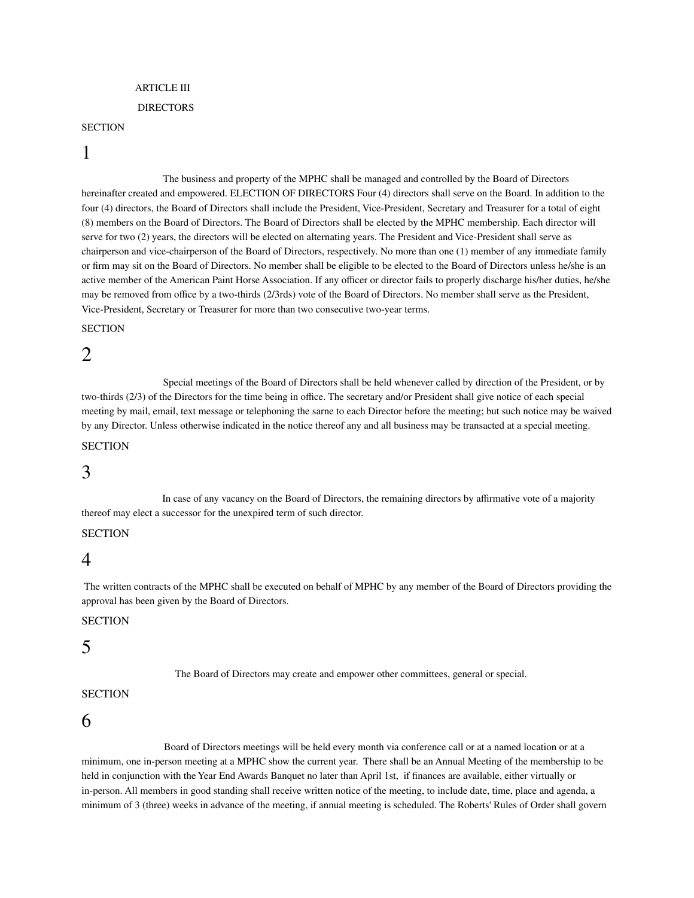#### ARTICLE III

#### DIRECTORS

#### **SECTION**

# 1

The business and property of the MPHC shall be managed and controlled by the Board of Directors hereinafter created and empowered. ELECTION OF DIRECTORS Four (4) directors shall serve on the Board. In addition to the four (4) directors, the Board of Directors shall include the President, Vice-President, Secretary and Treasurer for a total of eight (8) members on the Board of Directors. The Board of Directors shall be elected by the MPHC membership. Each director will serve for two (2) years, the directors will be elected on alternating years. The President and Vice-President shall serve as chairperson and vice-chairperson of the Board of Directors, respectively. No more than one (1) member of any immediate family or firm may sit on the Board of Directors. No member shall be eligible to be elected to the Board of Directors unless he/she is an active member of the American Paint Horse Association. If any officer or director fails to properly discharge his/her duties, he/she may be removed from office by a two-thirds (2/3rds) vote of the Board of Directors. No member shall serve as the President, Vice-President, Secretary or Treasurer for more than two consecutive two-year terms.

#### **SECTION**

# 2

Special meetings of the Board of Directors shall be held whenever called by direction of the President, or by two-thirds (2/3) of the Directors for the time being in office. The secretary and/or President shall give notice of each special meeting by mail, email, text message or telephoning the sarne to each Director before the meeting; but such notice may be waived by any Director. Unless otherwise indicated in the notice thereof any and all business may be transacted at a special meeting.

### **SECTION**

## 3

In case of any vacancy on the Board of Directors, the remaining directors by affirmative vote of a majority thereof may elect a successor for the unexpired term of such director.

#### **SECTION**

## 4

The written contracts of the MPHC shall be executed on behalf of MPHC by any member of the Board of Directors providing the approval has been given by the Board of Directors.

## **SECTION**

# 5

The Board of Directors may create and empower other committees, general or special.

## **SECTION**

# 6

Board of Directors meetings will be held every month via conference call or at a named location or at a minimum, one in-person meeting at a MPHC show the current year. There shall be an Annual Meeting of the membership to be held in conjunction with the Year End Awards Banquet no later than April 1st, if finances are available, either virtually or in-person. All members in good standing shall receive written notice of the meeting, to include date, time, place and agenda, a minimum of 3 (three) weeks in advance of the meeting, if annual meeting is scheduled. The Roberts' Rules of Order shall govern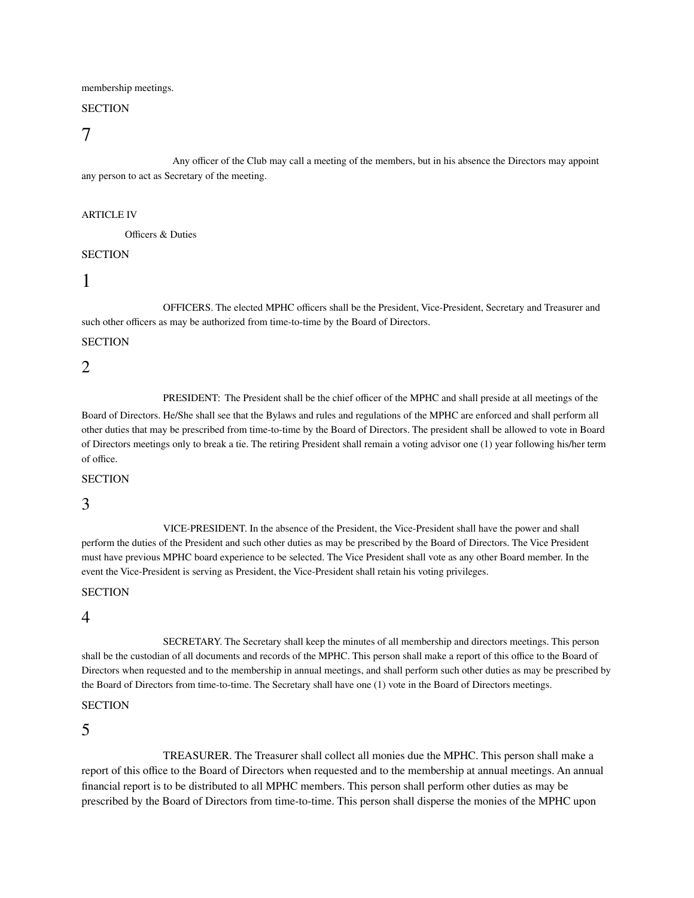membership meetings.

## **SECTION**

7

Any officer of the Club may call a meeting of the members, but in his absence the Directors may appoint any person to act as Secretary of the meeting.

#### ARTICLE IV

Officers & Duties

### **SECTION**

# 1

OFFICERS. The elected MPHC officers shall be the President, Vice-President, Secretary and Treasurer and such other officers as may be authorized from time-to-time by the Board of Directors.

#### **SECTION**

2

PRESIDENT: The President shall be the chief officer of the MPHC and shall preside at all meetings of the

Board of Directors. He/She shall see that the Bylaws and rules and regulations of the MPHC are enforced and shall perform all other duties that may be prescribed from time-to-time by the Board of Directors. The president shall be allowed to vote in Board of Directors meetings only to break a tie. The retiring President shall remain a voting advisor one (1) year following his/her term of office.

#### **SECTION**

3

VICE-PRESIDENT. In the absence of the President, the Vice-President shall have the power and shall perform the duties of the President and such other duties as may be prescribed by the Board of Directors. The Vice President must have previous MPHC board experience to be selected. The Vice President shall vote as any other Board member. In the event the Vice-President is serving as President, the Vice-President shall retain his voting privileges.

#### **SECTION**

4

SECRETARY. The Secretary shall keep the minutes of all membership and directors meetings. This person shall be the custodian of all documents and records of the MPHC. This person shall make a report of this office to the Board of Directors when requested and to the membership in annual meetings, and shall perform such other duties as may be prescribed by the Board of Directors from time-to-time. The Secretary shall have one (1) vote in the Board of Directors meetings.

### **SECTION**

5

TREASURER. The Treasurer shall collect all monies due the MPHC. This person shall make a report of this office to the Board of Directors when requested and to the membership at annual meetings. An annual financial report is to be distributed to all MPHC members. This person shall perform other duties as may be prescribed by the Board of Directors from time-to-time. This person shall disperse the monies of the MPHC upon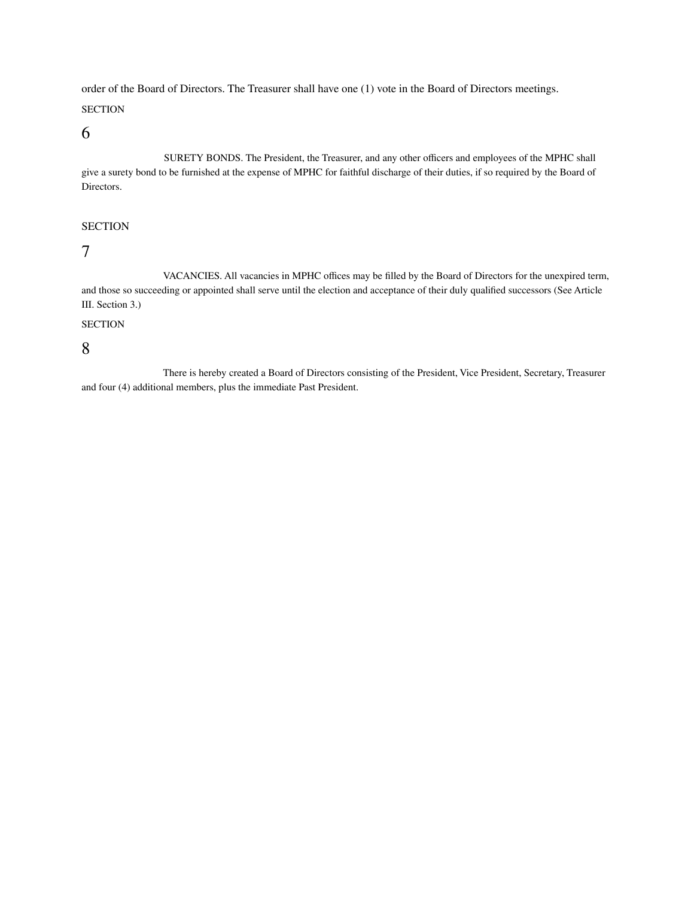order of the Board of Directors. The Treasurer shall have one (1) vote in the Board of Directors meetings.

## **SECTION**

6

SURETY BONDS. The President, the Treasurer, and any other officers and employees of the MPHC shall give a surety bond to be furnished at the expense of MPHC for faithful discharge of their duties, if so required by the Board of Directors.

## **SECTION**

7

VACANCIES. All vacancies in MPHC offices may be filled by the Board of Directors for the unexpired term, and those so succeeding or appointed shall serve until the election and acceptance of their duly qualified successors (See Article III. Section 3.)

## **SECTION**

8

There is hereby created a Board of Directors consisting of the President, Vice President, Secretary, Treasurer and four (4) additional members, plus the immediate Past President.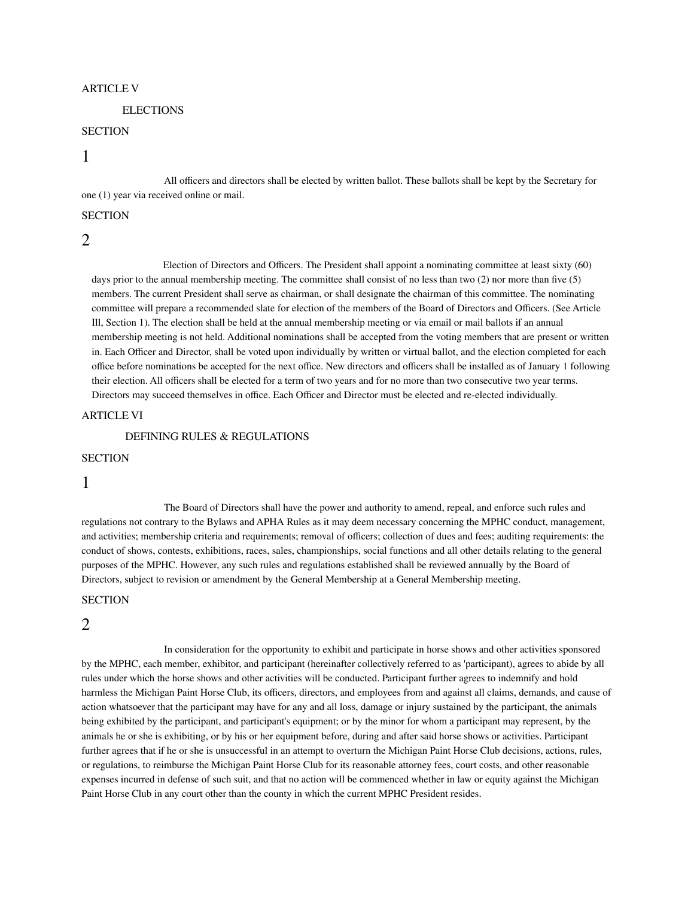#### ARTICLE V

#### **ELECTIONS**

### **SECTION**

## 1

All officers and directors shall be elected by written ballot. These ballots shall be kept by the Secretary for one (1) year via received online or mail.

#### **SECTION**

### 2

Election of Directors and Officers. The President shall appoint a nominating committee at least sixty (60) days prior to the annual membership meeting. The committee shall consist of no less than two (2) nor more than five (5) members. The current President shall serve as chairman, or shall designate the chairman of this committee. The nominating committee will prepare a recommended slate for election of the members of the Board of Directors and Officers. (See Article Ill, Section 1). The election shall be held at the annual membership meeting or via email or mail ballots if an annual membership meeting is not held. Additional nominations shall be accepted from the voting members that are present or written in. Each Officer and Director, shall be voted upon individually by written or virtual ballot, and the election completed for each office before nominations be accepted for the next office. New directors and officers shall be installed as of January 1 following their election. All officers shall be elected for a term of two years and for no more than two consecutive two year terms. Directors may succeed themselves in office. Each Officer and Director must be elected and re-elected individually.

#### ARTICLE VI

DEFINING RULES & REGULATIONS

#### **SECTION**

1

The Board of Directors shall have the power and authority to amend, repeal, and enforce such rules and regulations not contrary to the Bylaws and APHA Rules as it may deem necessary concerning the MPHC conduct, management, and activities; membership criteria and requirements; removal of officers; collection of dues and fees; auditing requirements: the conduct of shows, contests, exhibitions, races, sales, championships, social functions and all other details relating to the general purposes of the MPHC. However, any such rules and regulations established shall be reviewed annually by the Board of Directors, subject to revision or amendment by the General Membership at a General Membership meeting.

#### **SECTION**

## 2

In consideration for the opportunity to exhibit and participate in horse shows and other activities sponsored by the MPHC, each member, exhibitor, and participant (hereinafter collectively referred to as 'participant), agrees to abide by all rules under which the horse shows and other activities will be conducted. Participant further agrees to indemnify and hold harmless the Michigan Paint Horse Club, its officers, directors, and employees from and against all claims, demands, and cause of action whatsoever that the participant may have for any and all loss, damage or injury sustained by the participant, the animals being exhibited by the participant, and participant's equipment; or by the minor for whom a participant may represent, by the animals he or she is exhibiting, or by his or her equipment before, during and after said horse shows or activities. Participant further agrees that if he or she is unsuccessful in an attempt to overturn the Michigan Paint Horse Club decisions, actions, rules, or regulations, to reimburse the Michigan Paint Horse Club for its reasonable attorney fees, court costs, and other reasonable expenses incurred in defense of such suit, and that no action will be commenced whether in law or equity against the Michigan Paint Horse Club in any court other than the county in which the current MPHC President resides.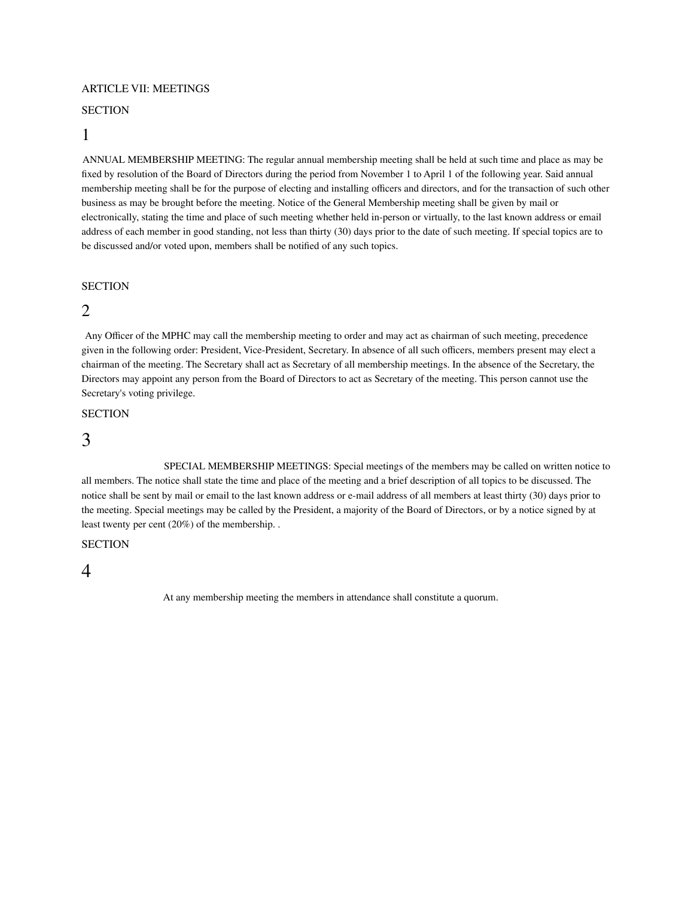#### ARTICLE VII: MEETINGS

#### **SECTION**

## 1

ANNUAL MEMBERSHIP MEETING: The regular annual membership meeting shall be held at such time and place as may be fixed by resolution of the Board of Directors during the period from November 1 to April 1 of the following year. Said annual membership meeting shall be for the purpose of electing and installing officers and directors, and for the transaction of such other business as may be brought before the meeting. Notice of the General Membership meeting shall be given by mail or electronically, stating the time and place of such meeting whether held in-person or virtually, to the last known address or email address of each member in good standing, not less than thirty (30) days prior to the date of such meeting. If special topics are to be discussed and/or voted upon, members shall be notified of any such topics.

### **SECTION**

## 2

Any Officer of the MPHC may call the membership meeting to order and may act as chairman of such meeting, precedence given in the following order: President, Vice-President, Secretary. In absence of all such officers, members present may elect a chairman of the meeting. The Secretary shall act as Secretary of all membership meetings. In the absence of the Secretary, the Directors may appoint any person from the Board of Directors to act as Secretary of the meeting. This person cannot use the Secretary's voting privilege.

## **SECTION**

# 3

SPECIAL MEMBERSHIP MEETINGS: Special meetings of the members may be called on written notice to all members. The notice shall state the time and place of the meeting and a brief description of all topics to be discussed. The notice shall be sent by mail or email to the last known address or e-mail address of all members at least thirty (30) days prior to the meeting. Special meetings may be called by the President, a majority of the Board of Directors, or by a notice signed by at least twenty per cent (20%) of the membership. .

## **SECTION**

## 4

At any membership meeting the members in attendance shall constitute a quorum.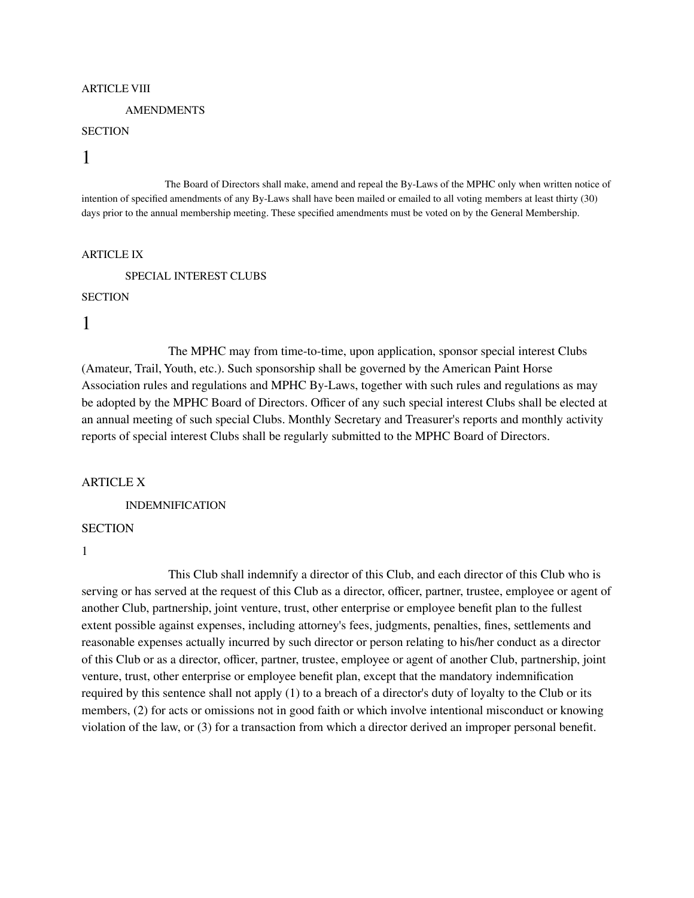#### ARTICLE VIII

#### **AMENDMENTS**

## **SECTION**

# 1

The Board of Directors shall make, amend and repeal the By-Laws of the MPHC only when written notice of intention of specified amendments of any By-Laws shall have been mailed or emailed to all voting members at least thirty (30) days prior to the annual membership meeting. These specified amendments must be voted on by the General Membership.

#### ARTICLE IX

SPECIAL INTEREST CLUBS

#### **SECTION**

# 1

The MPHC may from time-to-time, upon application, sponsor special interest Clubs (Amateur, Trail, Youth, etc.). Such sponsorship shall be governed by the American Paint Horse Association rules and regulations and MPHC By-Laws, together with such rules and regulations as may be adopted by the MPHC Board of Directors. Officer of any such special interest Clubs shall be elected at an annual meeting of such special Clubs. Monthly Secretary and Treasurer's reports and monthly activity reports of special interest Clubs shall be regularly submitted to the MPHC Board of Directors.

#### ARTICLE X

INDEMNIFICATION

## **SECTION**

1

This Club shall indemnify a director of this Club, and each director of this Club who is serving or has served at the request of this Club as a director, officer, partner, trustee, employee or agent of another Club, partnership, joint venture, trust, other enterprise or employee benefit plan to the fullest extent possible against expenses, including attorney's fees, judgments, penalties, fines, settlements and reasonable expenses actually incurred by such director or person relating to his/her conduct as a director of this Club or as a director, officer, partner, trustee, employee or agent of another Club, partnership, joint venture, trust, other enterprise or employee benefit plan, except that the mandatory indemnification required by this sentence shall not apply (1) to a breach of a director's duty of loyalty to the Club or its members, (2) for acts or omissions not in good faith or which involve intentional misconduct or knowing violation of the law, or (3) for a transaction from which a director derived an improper personal benefit.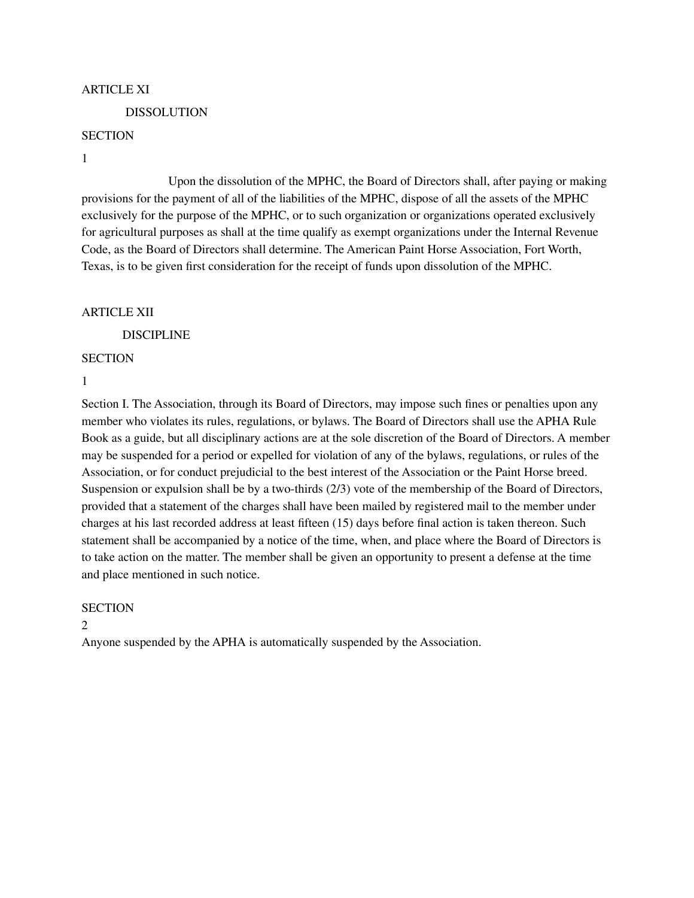### ARTICLE XI

## DISSOLUTION

## **SECTION**

## 1

Upon the dissolution of the MPHC, the Board of Directors shall, after paying or making provisions for the payment of all of the liabilities of the MPHC, dispose of all the assets of the MPHC exclusively for the purpose of the MPHC, or to such organization or organizations operated exclusively for agricultural purposes as shall at the time qualify as exempt organizations under the Internal Revenue Code, as the Board of Directors shall determine. The American Paint Horse Association, Fort Worth, Texas, is to be given first consideration for the receipt of funds upon dissolution of the MPHC.

## ARTICLE XII

DISCIPLINE

## **SECTION**

1

Section I. The Association, through its Board of Directors, may impose such fines or penalties upon any member who violates its rules, regulations, or bylaws. The Board of Directors shall use the APHA Rule Book as a guide, but all disciplinary actions are at the sole discretion of the Board of Directors. A member may be suspended for a period or expelled for violation of any of the bylaws, regulations, or rules of the Association, or for conduct prejudicial to the best interest of the Association or the Paint Horse breed. Suspension or expulsion shall be by a two-thirds (2/3) vote of the membership of the Board of Directors, provided that a statement of the charges shall have been mailed by registered mail to the member under charges at his last recorded address at least fifteen (15) days before final action is taken thereon. Such statement shall be accompanied by a notice of the time, when, and place where the Board of Directors is to take action on the matter. The member shall be given an opportunity to present a defense at the time and place mentioned in such notice.

## **SECTION**

#### 2

Anyone suspended by the APHA is automatically suspended by the Association.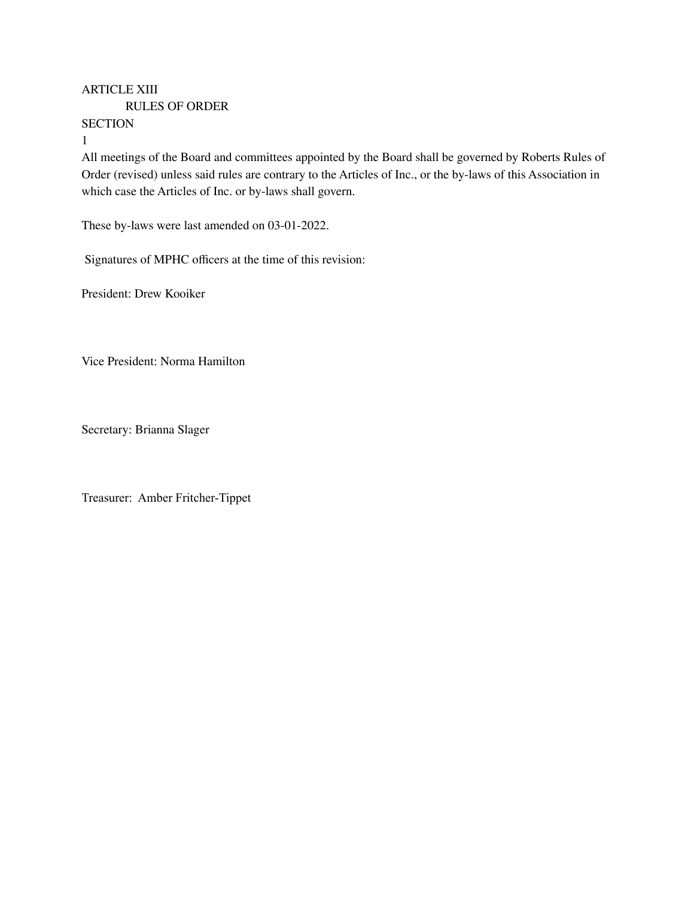# ARTICLE XIII

RULES OF ORDER

**SECTION** 

1

All meetings of the Board and committees appointed by the Board shall be governed by Roberts Rules of Order (revised) unless said rules are contrary to the Articles of Inc., or the by-laws of this Association in which case the Articles of Inc. or by-laws shall govern.

These by-laws were last amended on 03-01-2022.

Signatures of MPHC officers at the time of this revision:

President: Drew Kooiker

Vice President: Norma Hamilton

Secretary: Brianna Slager

Treasurer: Amber Fritcher-Tippet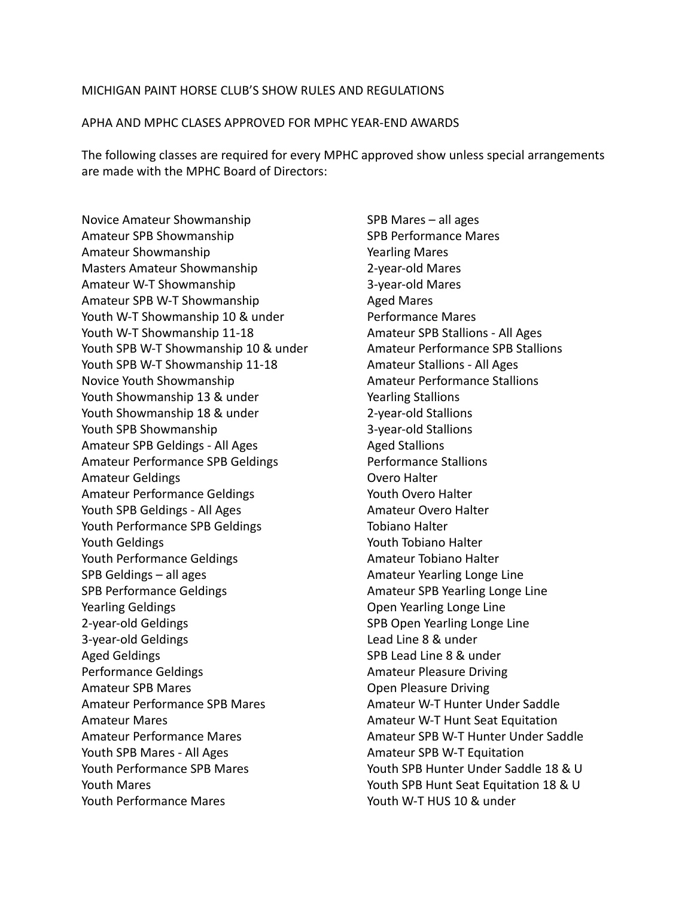## MICHIGAN PAINT HORSE CLUB'S SHOW RULES AND REGULATIONS

## APHA AND MPHC CLASES APPROVED FOR MPHC YEAR-END AWARDS

The following classes are required for every MPHC approved show unless special arrangements are made with the MPHC Board of Directors:

Novice Amateur Showmanship Amateur SPB Showmanship Amateur Showmanship Masters Amateur Showmanship Amateur W-T Showmanship Amateur SPB W-T Showmanship Youth W-T Showmanship 10 & under Youth W-T Showmanship 11-18 Youth SPB W-T Showmanship 10 & under Youth SPB W-T Showmanship 11-18 Novice Youth Showmanship Youth Showmanship 13 & under Youth Showmanship 18 & under Youth SPB Showmanship Amateur SPB Geldings - All Ages Amateur Performance SPB Geldings Amateur Geldings Amateur Performance Geldings Youth SPB Geldings - All Ages Youth Performance SPB Geldings Youth Geldings Youth Performance Geldings SPB Geldings – all ages SPB Performance Geldings Yearling Geldings 2-year-old Geldings 3-year-old Geldings Aged Geldings Performance Geldings Amateur SPB Mares Amateur Performance SPB Mares Amateur Mares Amateur Performance Mares Youth SPB Mares - All Ages Youth Performance SPB Mares Youth Mares Youth Performance Mares

SPB Mares – all ages SPB Performance Mares Yearling Mares 2-year-old Mares 3-year-old Mares Aged Mares Performance Mares Amateur SPB Stallions - All Ages Amateur Performance SPB Stallions Amateur Stallions - All Ages Amateur Performance Stallions Yearling Stallions 2-year-old Stallions 3-year-old Stallions Aged Stallions Performance Stallions Overo Halter Youth Overo Halter Amateur Overo Halter Tobiano Halter Youth Tobiano Halter Amateur Tobiano Halter Amateur Yearling Longe Line Amateur SPB Yearling Longe Line Open Yearling Longe Line SPB Open Yearling Longe Line Lead Line 8 & under SPB Lead Line 8 & under Amateur Pleasure Driving Open Pleasure Driving Amateur W-T Hunter Under Saddle Amateur W-T Hunt Seat Equitation Amateur SPB W-T Hunter Under Saddle Amateur SPB W-T Equitation Youth SPB Hunter Under Saddle 18 & U Youth SPB Hunt Seat Equitation 18 & U Youth W-T HUS 10 & under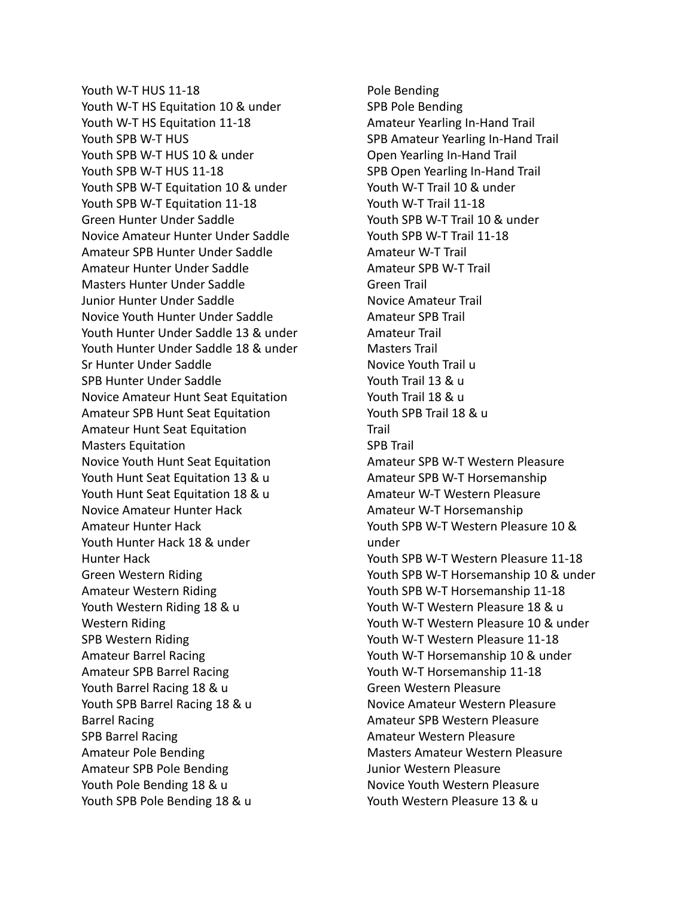Youth W-T HUS 11-18 Youth W-T HS Equitation 10 & under Youth W-T HS Equitation 11-18 Youth SPB W-T HUS Youth SPB W-T HUS 10 & under Youth SPB W-T HUS 11-18 Youth SPB W-T Equitation 10 & under Youth SPB W-T Equitation 11-18 Green Hunter Under Saddle Novice Amateur Hunter Under Saddle Amateur SPB Hunter Under Saddle Amateur Hunter Under Saddle Masters Hunter Under Saddle Junior Hunter Under Saddle Novice Youth Hunter Under Saddle Youth Hunter Under Saddle 13 & under Youth Hunter Under Saddle 18 & under Sr Hunter Under Saddle SPB Hunter Under Saddle Novice Amateur Hunt Seat Equitation Amateur SPB Hunt Seat Equitation Amateur Hunt Seat Equitation Masters Equitation Novice Youth Hunt Seat Equitation Youth Hunt Seat Equitation 13 & u Youth Hunt Seat Equitation 18 & u Novice Amateur Hunter Hack Amateur Hunter Hack Youth Hunter Hack 18 & under Hunter Hack Green Western Riding Amateur Western Riding Youth Western Riding 18 & u Western Riding SPB Western Riding Amateur Barrel Racing Amateur SPB Barrel Racing Youth Barrel Racing 18 & u Youth SPB Barrel Racing 18 & u Barrel Racing SPB Barrel Racing Amateur Pole Bending Amateur SPB Pole Bending Youth Pole Bending 18 & u Youth SPB Pole Bending 18 & u

Pole Bending SPB Pole Bending Amateur Yearling In-Hand Trail SPB Amateur Yearling In-Hand Trail Open Yearling In-Hand Trail SPB Open Yearling In-Hand Trail Youth W-T Trail 10 & under Youth W-T Trail 11-18 Youth SPB W-T Trail 10 & under Youth SPB W-T Trail 11-18 Amateur W-T Trail Amateur SPB W-T Trail Green Trail Novice Amateur Trail Amateur SPB Trail Amateur Trail Masters Trail Novice Youth Trail u Youth Trail 13 & u Youth Trail 18 & u Youth SPB Trail 18 & u Trail SPB Trail Amateur SPB W-T Western Pleasure Amateur SPB W-T Horsemanship Amateur W-T Western Pleasure Amateur W-T Horsemanship Youth SPB W-T Western Pleasure 10 & under Youth SPB W-T Western Pleasure 11-18 Youth SPB W-T Horsemanship 10 & under Youth SPB W-T Horsemanship 11-18 Youth W-T Western Pleasure 18 & u Youth W-T Western Pleasure 10 & under Youth W-T Western Pleasure 11-18 Youth W-T Horsemanship 10 & under Youth W-T Horsemanship 11-18 Green Western Pleasure Novice Amateur Western Pleasure Amateur SPB Western Pleasure Amateur Western Pleasure Masters Amateur Western Pleasure Junior Western Pleasure Novice Youth Western Pleasure Youth Western Pleasure 13 & u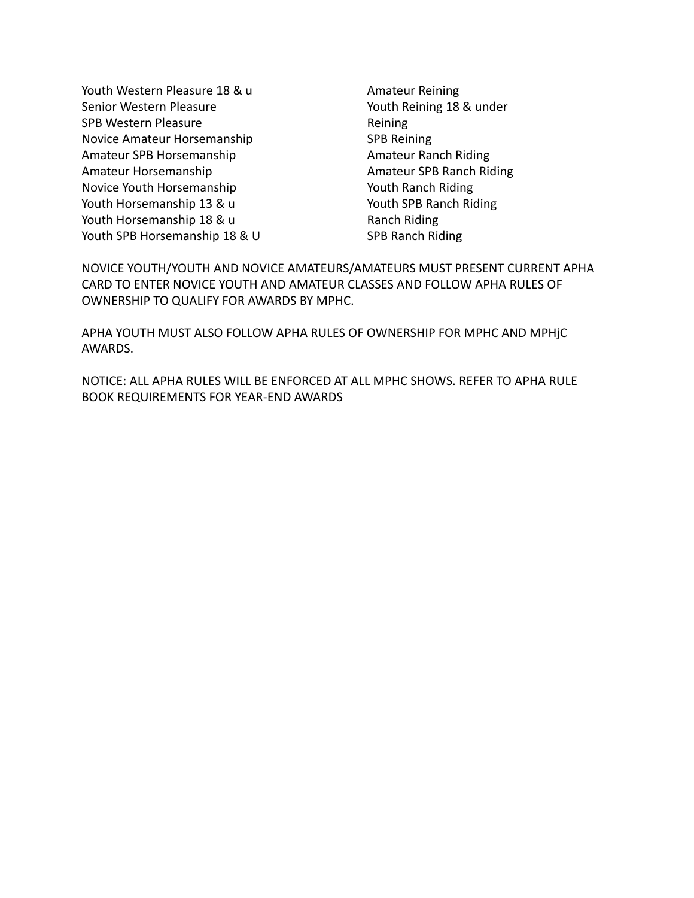Youth Western Pleasure 18 & u Senior Western Pleasure SPB Western Pleasure Novice Amateur Horsemanship Amateur SPB Horsemanship Amateur Horsemanship Novice Youth Horsemanship Youth Horsemanship 13 & u Youth Horsemanship 18 & u Youth SPB Horsemanship 18 & U

Amateur Reining Youth Reining 18 & under Reining SPB Reining Amateur Ranch Riding Amateur SPB Ranch Riding Youth Ranch Riding Youth SPB Ranch Riding Ranch Riding SPB Ranch Riding

NOVICE YOUTH/YOUTH AND NOVICE AMATEURS/AMATEURS MUST PRESENT CURRENT APHA CARD TO ENTER NOVICE YOUTH AND AMATEUR CLASSES AND FOLLOW APHA RULES OF OWNERSHIP TO QUALIFY FOR AWARDS BY MPHC.

APHA YOUTH MUST ALSO FOLLOW APHA RULES OF OWNERSHIP FOR MPHC AND MPHjC AWARDS.

NOTICE: ALL APHA RULES WILL BE ENFORCED AT ALL MPHC SHOWS. REFER TO APHA RULE BOOK REQUIREMENTS FOR YEAR-END AWARDS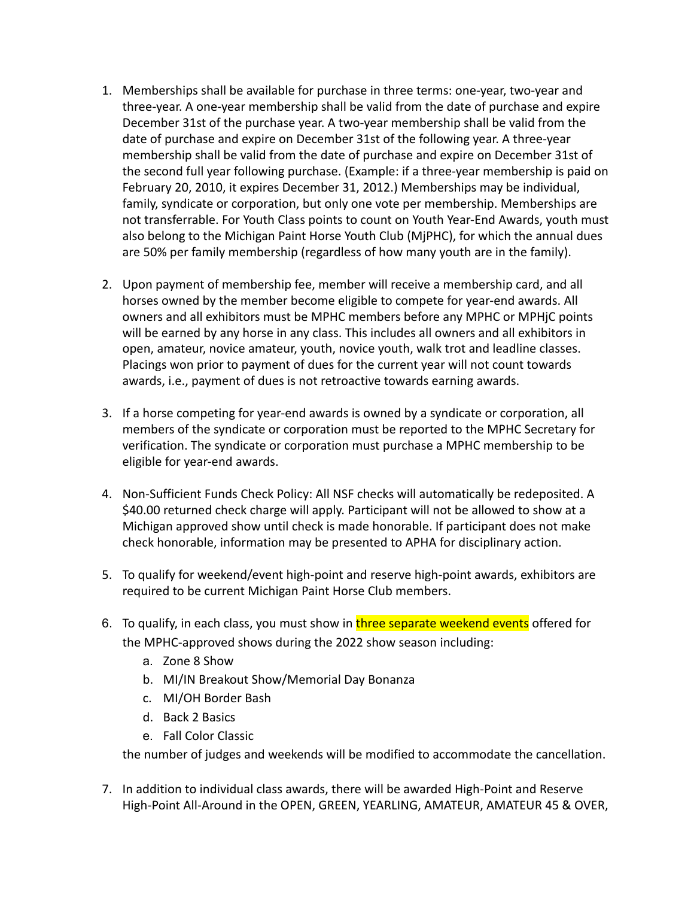- 1. Memberships shall be available for purchase in three terms: one-year, two-year and three-year. A one-year membership shall be valid from the date of purchase and expire December 31st of the purchase year. A two-year membership shall be valid from the date of purchase and expire on December 31st of the following year. A three-year membership shall be valid from the date of purchase and expire on December 31st of the second full year following purchase. (Example: if a three-year membership is paid on February 20, 2010, it expires December 31, 2012.) Memberships may be individual, family, syndicate or corporation, but only one vote per membership. Memberships are not transferrable. For Youth Class points to count on Youth Year-End Awards, youth must also belong to the Michigan Paint Horse Youth Club (MjPHC), for which the annual dues are 50% per family membership (regardless of how many youth are in the family).
- 2. Upon payment of membership fee, member will receive a membership card, and all horses owned by the member become eligible to compete for year-end awards. All owners and all exhibitors must be MPHC members before any MPHC or MPHjC points will be earned by any horse in any class. This includes all owners and all exhibitors in open, amateur, novice amateur, youth, novice youth, walk trot and leadline classes. Placings won prior to payment of dues for the current year will not count towards awards, i.e., payment of dues is not retroactive towards earning awards.
- 3. If a horse competing for year-end awards is owned by a syndicate or corporation, all members of the syndicate or corporation must be reported to the MPHC Secretary for verification. The syndicate or corporation must purchase a MPHC membership to be eligible for year-end awards.
- 4. Non-Sufficient Funds Check Policy: All NSF checks will automatically be redeposited. A \$40.00 returned check charge will apply. Participant will not be allowed to show at a Michigan approved show until check is made honorable. If participant does not make check honorable, information may be presented to APHA for disciplinary action.
- 5. To qualify for weekend/event high-point and reserve high-point awards, exhibitors are required to be current Michigan Paint Horse Club members.
- 6. To qualify, in each class, you must show in three separate weekend events offered for the MPHC-approved shows during the 2022 show season including:
	- a. Zone 8 Show
	- b. MI/IN Breakout Show/Memorial Day Bonanza
	- c. MI/OH Border Bash
	- d. Back 2 Basics
	- e. Fall Color Classic

the number of judges and weekends will be modified to accommodate the cancellation.

7. In addition to individual class awards, there will be awarded High-Point and Reserve High-Point All-Around in the OPEN, GREEN, YEARLING, AMATEUR, AMATEUR 45 & OVER,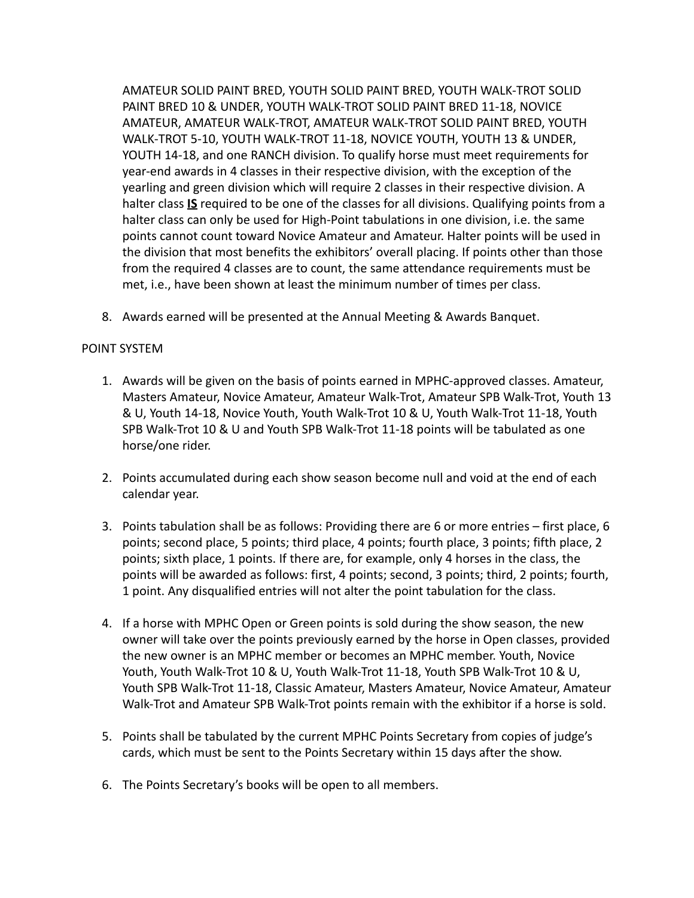AMATEUR SOLID PAINT BRED, YOUTH SOLID PAINT BRED, YOUTH WALK-TROT SOLID PAINT BRED 10 & UNDER, YOUTH WALK-TROT SOLID PAINT BRED 11-18, NOVICE AMATEUR, AMATEUR WALK-TROT, AMATEUR WALK-TROT SOLID PAINT BRED, YOUTH WALK-TROT 5-10, YOUTH WALK-TROT 11-18, NOVICE YOUTH, YOUTH 13 & UNDER, YOUTH 14-18, and one RANCH division. To qualify horse must meet requirements for year-end awards in 4 classes in their respective division, with the exception of the yearling and green division which will require 2 classes in their respective division. A halter class **IS** required to be one of the classes for all divisions. Qualifying points from a halter class can only be used for High-Point tabulations in one division, i.e. the same points cannot count toward Novice Amateur and Amateur. Halter points will be used in the division that most benefits the exhibitors' overall placing. If points other than those from the required 4 classes are to count, the same attendance requirements must be met, i.e., have been shown at least the minimum number of times per class.

8. Awards earned will be presented at the Annual Meeting & Awards Banquet.

# POINT SYSTEM

- 1. Awards will be given on the basis of points earned in MPHC-approved classes. Amateur, Masters Amateur, Novice Amateur, Amateur Walk-Trot, Amateur SPB Walk-Trot, Youth 13 & U, Youth 14-18, Novice Youth, Youth Walk-Trot 10 & U, Youth Walk-Trot 11-18, Youth SPB Walk-Trot 10 & U and Youth SPB Walk-Trot 11-18 points will be tabulated as one horse/one rider.
- 2. Points accumulated during each show season become null and void at the end of each calendar year.
- 3. Points tabulation shall be as follows: Providing there are 6 or more entries first place, 6 points; second place, 5 points; third place, 4 points; fourth place, 3 points; fifth place, 2 points; sixth place, 1 points. If there are, for example, only 4 horses in the class, the points will be awarded as follows: first, 4 points; second, 3 points; third, 2 points; fourth, 1 point. Any disqualified entries will not alter the point tabulation for the class.
- 4. If a horse with MPHC Open or Green points is sold during the show season, the new owner will take over the points previously earned by the horse in Open classes, provided the new owner is an MPHC member or becomes an MPHC member. Youth, Novice Youth, Youth Walk-Trot 10 & U, Youth Walk-Trot 11-18, Youth SPB Walk-Trot 10 & U, Youth SPB Walk-Trot 11-18, Classic Amateur, Masters Amateur, Novice Amateur, Amateur Walk-Trot and Amateur SPB Walk-Trot points remain with the exhibitor if a horse is sold.
- 5. Points shall be tabulated by the current MPHC Points Secretary from copies of judge's cards, which must be sent to the Points Secretary within 15 days after the show.
- 6. The Points Secretary's books will be open to all members.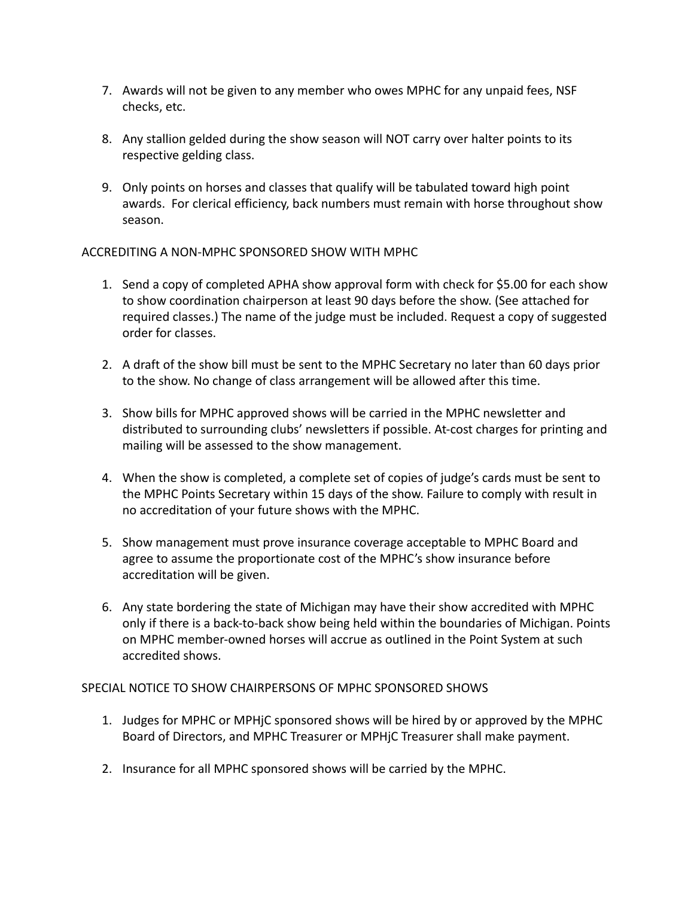- 7. Awards will not be given to any member who owes MPHC for any unpaid fees, NSF checks, etc.
- 8. Any stallion gelded during the show season will NOT carry over halter points to its respective gelding class.
- 9. Only points on horses and classes that qualify will be tabulated toward high point awards. For clerical efficiency, back numbers must remain with horse throughout show season.

# ACCREDITING A NON-MPHC SPONSORED SHOW WITH MPHC

- 1. Send a copy of completed APHA show approval form with check for \$5.00 for each show to show coordination chairperson at least 90 days before the show. (See attached for required classes.) The name of the judge must be included. Request a copy of suggested order for classes.
- 2. A draft of the show bill must be sent to the MPHC Secretary no later than 60 days prior to the show. No change of class arrangement will be allowed after this time.
- 3. Show bills for MPHC approved shows will be carried in the MPHC newsletter and distributed to surrounding clubs' newsletters if possible. At-cost charges for printing and mailing will be assessed to the show management.
- 4. When the show is completed, a complete set of copies of judge's cards must be sent to the MPHC Points Secretary within 15 days of the show. Failure to comply with result in no accreditation of your future shows with the MPHC.
- 5. Show management must prove insurance coverage acceptable to MPHC Board and agree to assume the proportionate cost of the MPHC's show insurance before accreditation will be given.
- 6. Any state bordering the state of Michigan may have their show accredited with MPHC only if there is a back-to-back show being held within the boundaries of Michigan. Points on MPHC member-owned horses will accrue as outlined in the Point System at such accredited shows.

SPECIAL NOTICE TO SHOW CHAIRPERSONS OF MPHC SPONSORED SHOWS

- 1. Judges for MPHC or MPHjC sponsored shows will be hired by or approved by the MPHC Board of Directors, and MPHC Treasurer or MPHjC Treasurer shall make payment.
- 2. Insurance for all MPHC sponsored shows will be carried by the MPHC.